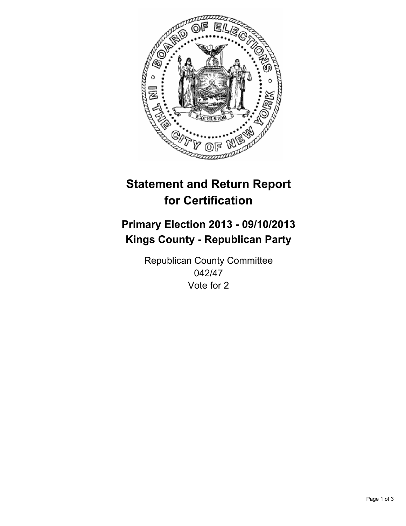

# **Statement and Return Report for Certification**

## **Primary Election 2013 - 09/10/2013 Kings County - Republican Party**

Republican County Committee 042/47 Vote for 2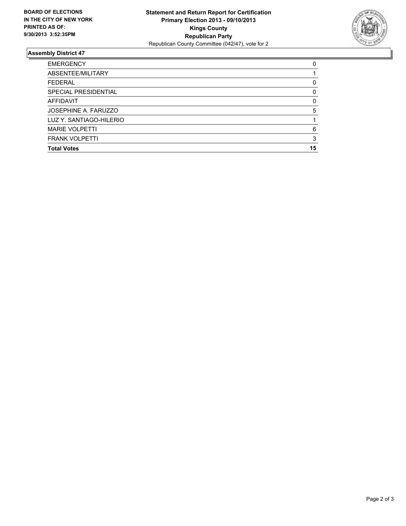

### **Assembly District 47**

| <b>EMERGENCY</b>        | 0  |
|-------------------------|----|
| ABSENTEE/MILITARY       |    |
| <b>FEDERAL</b>          | 0  |
| SPECIAL PRESIDENTIAL    | 0  |
| <b>AFFIDAVIT</b>        | 0  |
| JOSEPHINE A. FARUZZO    | 5  |
| LUZ Y. SANTIAGO-HILERIO |    |
| <b>MARIE VOLPETTI</b>   | 6  |
| <b>FRANK VOLPETTI</b>   | 3  |
| <b>Total Votes</b>      | 15 |